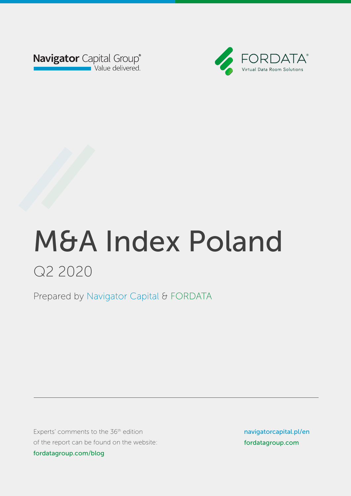



Prepared by Navigator Capital & FORDATA Prepared by Navigator Capital & FORDATA

Experts' comments to the 36<sup>th</sup> edition of the report can be found on the website: fordatagroup.com/blog

navigatorcapital.p/en navigatorcapital.pl/en fordatagroup.com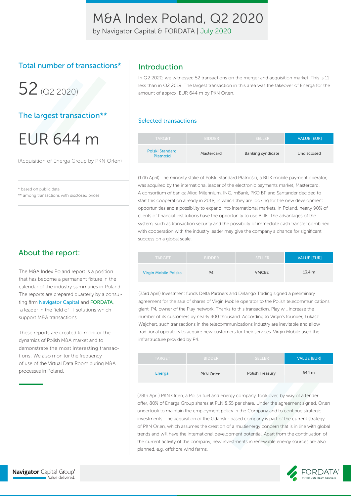by Navigator Capital & FORDATA | July 2020

### Total number of transactions\*

 $52$  ( $\Omega$ 2020)

### The largest transaction\*\*

# EUR 644 m

(Acquisition of Energa Group by PKN Orlen)

\* based on public data

\*\* among transactions with disclosed prices

### About the report:

The M&A Index Poland report is a position that has become a permanent fixture in the calendar of the industry summaries in Poland. The reports are prepared quarterly by a consulting firm Navigator Capital and FORDATA, a leader in the field of IT solutions which support M&A transactions.

These reports are created to monitor the dynamics of Polish M&A market and to demonstrate the most interesting transactions. We also monitor the frequency of use of the Virtual Data Room during M&A processes in Poland.

### Introduction

In Q2 2020, we witnessed 52 transactions on the merger and acquisition market. This is 11 less than in Q2 2019. The largest transaction in this area was the takeover of Energa for the amount of approx. EUR 644 m by PKN Orlen.

#### Selected transactions

| <b>TARGET</b>                | <b>BIDDER</b> | SELLER.                  | <b>VALUE [EUR]</b> |
|------------------------------|---------------|--------------------------|--------------------|
| Polski Standard<br>Płatności | Mastercard    | <b>Banking syndicate</b> | Undisclosed        |

(17th April) The minority stake of Polski Standard Płatności, a BLIK mobile payment operator, was acquired by the international leader of the electronic payments market, Mastercard. A consortium of banks: Alior, Milennium, ING, mBank, PKO BP and Santander decided to start this cooperation already in 2018, in which they are looking for the new development opportunities and a possibility to expand into international markets. In Poland, nearly 90% of clients of financial institutions have the opportunity to use BLIK. The advantages of the system, such as transaction security and the possibility of immediate cash transfer combined with cooperation with the industry leader may give the company a chance for significant success on a global scale.

| <b>TARGET</b>        | <b>BIDDER</b> | <b>SELLER</b> | <b>VALUE [EUR]</b> |
|----------------------|---------------|---------------|--------------------|
| Virgin Mobile Polska | P4            | <b>VMCEE</b>  | 13.4 <sub>m</sub>  |

(23rd April) Investment funds Delta Partners and Dirlango Trading signed a preliminary agreement for the sale of shares of Virgin Mobile operator to the Polish telecommunications giant, P4, owner of the Play network. Thanks to this transaction, Play will increase the number of its customers by nearly 400 thousand. According to Virgin's founder, Łukasz Wejchert, such transactions in the telecommunications industry are inevitable and allow traditional operators to acquire new customers for their services. Virgin Mobile used the infrastructure provided by P4.

| <b>TARGET</b> | <b>BIDDER</b> | <b>SELLER</b>   | <b>VALUE [EUR]</b> |
|---------------|---------------|-----------------|--------------------|
| Energa        | PKN Orlen     | Polish Treasury | 644 m              |

(28th April) PKN Orlen, a Polish fuel and energy company, took over, by way of a tender offer, 80% of Energa Group shares at PLN 8.35 per share. Under the agreement signed, Orlen undertook to maintain the employment policy in the Company and to continue strategic investments. The acquisition of the Gdańsk - based company is part of the current strategy of PKN Orlen, which assumes the creation of a multienergy concern that is in line with global trends and will have the international development potential. Apart from the continuation of the current activity of the company, new investments in renewable energy sources are also planned, e.g. offshore wind farms.

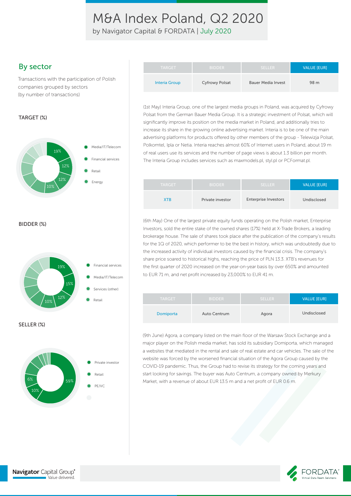by Navigator Capital & FORDATA | July 2020

### By sector

Transactions with the participation of Polish companies grouped by sectors (by number of transactions)

#### TARGET (%)



BIDDER (%)





| <b>TARGET</b> | <b>BIDDER</b>         | <b>SELLER</b>             | <b>VALUE [EUR]</b> |
|---------------|-----------------------|---------------------------|--------------------|
| Interia Group | <b>Cyfrowy Polsat</b> | <b>Bauer Media Invest</b> | 98 m               |

(1st May) Interia Group, one of the largest media groups in Poland, was acquired by Cyfrowy Polsat from the German Bauer Media Group. It is a strategic investment of Polsat, which will significantly improve its position on the media market in Poland, and additionally tries to increase its share in the growing online advertising market. Interia is to be one of the main advertising platforms for products offered by other members of the group - Telewizja Polsat, Polkomtel, Ipla or Netia. Interia reaches almost 60% of Internet users in Poland, about 19 m of real users use its services and the number of page views is about 1.3 billion per month. The Interia Group includes services such as maxmodels.pl, styl.pl or PCFormat.pl.

| <b>TARGET</b> | <b>BIDDER</b>    | <b>SELLER</b>               | <b>VALUE [EUR]</b> |
|---------------|------------------|-----------------------------|--------------------|
| <b>XTR</b>    | Private investor | <b>Enterprise Investors</b> | Undisclosed        |

(6th May) One of the largest private equity funds operating on the Polish market, Enterprise Investors, sold the entire stake of the owned shares (17%) held at X-Trade Brokers, a leading brokerage house. The sale of shares took place after the publication of the company's results for the 1Q of 2020, which performer to be the best in history, which was undoubtedly due to the increased activity of individual investors caused by the financial crisis. The company's share price soared to historical highs, reaching the price of PLN 13.3. XTB's revenues for the first quarter of 2020 increased on the year-on-year basis by over 650% and amounted to EUR 71 m, and net profit increased by 23,000% to EUR 41 m.

| <b>TARGET</b> | <b>BIDDER</b>       | <b>SELLER</b> | <b>VALUE [EUR]</b> |
|---------------|---------------------|---------------|--------------------|
| Domiporta     | <b>Auto Centrum</b> | Agora         | Undisclosed        |

(9th June) Agora, a company listed on the main floor of the Warsaw Stock Exchange and a major player on the Polish media market, has sold its subsidiary Domiporta, which managed a websites that mediated in the rental and sale of real estate and car vehicles. The sale of the website was forced by the worsened financial situation of the Agora Group caused by the COVID-19 pandemic. Thus, the Group had to revise its strategy for the coming years and start looking for savings. The buyer was Auto Centrum, a company owned by Merkury Market, with a revenue of about EUR 13.5 m and a net profit of EUR 0.6 m.

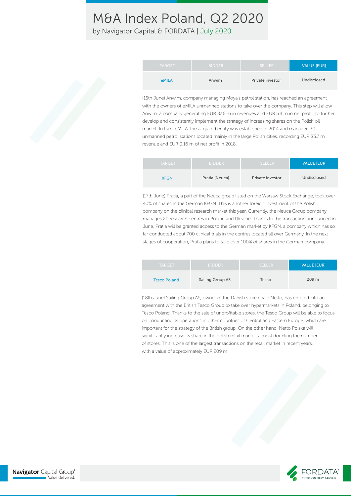by Navigator Capital & FORDATA | July 2020

| <b>TARGET</b> | <b>BIDDER</b> | <b>SELLER</b>    | <b>VALUE [EUR]</b> |
|---------------|---------------|------------------|--------------------|
| eMILA         | Anwim         | Private investor | Undisclosed        |

(15th June) Anwim, company managing Moya's petrol station, has reached an agreement with the owners of eMILA unmanned stations to take over the company. This step will allow Anwim, a company generating EUR 836 m in revenues and EUR 5.4 m in net profit, to further develop and consistently implement the strategy of increasing shares on the Polish oil market. In turn, eMILA, the acquired entity was established in 2014 and managed 30 unmanned petrol stations located mainly in the large Polish cities, recording EUR 83.7 m revenue and EUR 0.16 m of net profit in 2018.

| <b>TARGET</b> | <b>BIDDER</b>  | <b>SELLER</b>    | <b>VALUE [EUR]</b> |
|---------------|----------------|------------------|--------------------|
| <b>KFGN</b>   | Pratia (Neuca) | Private investor | Undisclosed        |

(17th June) Pratia, a part of the Neuca group listed on the Warsaw Stock Exchange, took over 40% of shares in the German KFGN. This is another foreign investment of the Polish company on the clinical research market this year. Currently, the Neuca Group company manages 20 research centres in Poland and Ukraine. Thanks to the transaction announced in June, Pratia will be granted access to the German market by KFGN, a company which has so far conducted about 700 clinical trials in the centres located all over Germany. In the next stages of cooperation, Pratia plans to take over 100% of shares in the German company.

| <b>TARGET</b>       | <b>BIDDER</b>    | <b>SELLER</b> | <b>VALUE [EUR]</b> |
|---------------------|------------------|---------------|--------------------|
| <b>Tesco Poland</b> | Sailing Group AS | Tesco         | 209 <sub>m</sub>   |

(18th June) Sailing Group AS, owner of the Danish store chain Netto, has entered into an agreement with the British Tesco Group to take over hypermarkets in Poland, belonging to Tesco Poland. Thanks to the sale of unprofitable stores, the Tesco Group will be able to focus on conducting its operations in other countries of Central and Eastern Europe, which are important for the strategy of the British group. On the other hand, Netto Polska will significantly increase its share in the Polish retail market, almost doubling the number of stores. This is one of the largest transactions on the retail market in recent years, with a value of approximately EUR 209 m.

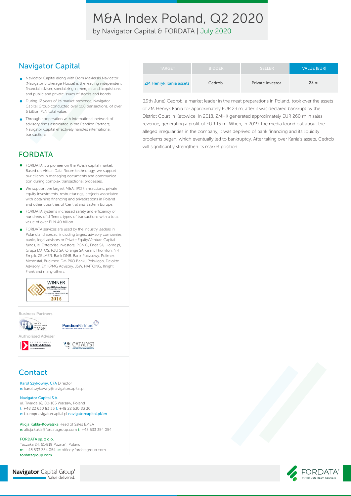by Navigator Capital & FORDATA | July 2020

### Navigator Capital

- Navigator Capital along with Dom Maklerski Navigator (Navigator Brokerage House) is the leading independent financial adviser, specializing in mergers and acquisitions and public and private issues of stocks and bonds.
- **During 12 years of its market presence, Navigator** Capital Group conducted over 100 transactions, of over 6 billion PLN total value.
- Through cooperation with international network of  $\bullet$ advisory firms associated in the Pandion Partners, Navigator Capital effectively handles international transactions.

## FORDATA

- FORDATA is a pioneer on the Polish capital market. Based on Virtual Data Room technology, we support our clients in managing documents and communication during complex transactional processes.
- We support the largest M&A, IPO transactions, private  $\bullet$ equity investments, restructurings, projects associated with obtaining financing and privatizations in Poland and other countries of Central and Eastern Europe.
- FORDATA systems increased safety and efficiency of hundreds of different types of transactions with a total value of over PLN 40 billion
- FORDATA services are used by the industry leaders in Poland and abroad, including largest advisory companies, banks, legal advisors or Private Equity/Venture Capital funds, ie. Enterprise Investors, PGNiG, Enea SA, Home.pl, Grupa LOTOS, PZU SA, Orange SA, Grant Thornton, NFI Empik, ZELMER, Bank DNB, Bank Pocztowy, Polimex Mostostal, Budimex, DM PKO Banku Polskiego, Deloitte Advisory, EY, KPMG Advisory, JSW, HAITONG, Knight Frank and many others.



Business Partners



### **Contact**

Karol Szykowny, CFA Director e: karol.szykowny@navigatorcapital.pl

#### Navigator Capital S.A.

ul. Twarda 18, 00-105 Warsaw, Poland t: +48 22 630 83 33 f: +48 22 630 83 30 e: biuro@navigatorcapital.pl navigatorcapital.pl/en

Alicja Kukla-Kowalska Head of Sales EMEA e: alicja.kukla@fordatagroup.com t: +48 533 354 054

FORDATA sp. z o.o. Taczaka 24, 61-819 Poznań, Poland m: +48 533 354 054 e: office@fordatagroup.com fordatagroup.com

**Navigator** Capital Group® Value delivered.

| <b>TARGET</b>                 | <b>BIDDER</b> | <b>SELLER</b>    | <b>VALUE IEURI</b> |
|-------------------------------|---------------|------------------|--------------------|
| <b>ZM Henryk Kania assets</b> | Cedrob        | Private investor | 23 <sub>m</sub>    |

(19th June) Cedrob, a market leader in the meat preparations in Poland, took over the assets of ZM Henryk Kania for approximately EUR 23 m, after it was declared bankrupt by the District Court in Katowice. In 2018, ZMHK generated approximately EUR 260 m in sales revenue, generating a profit of EUR 15 m. When, in 2019, the media found out about the alleged irregularities in the company, it was deprived of bank financing and its liquidity problems began, which eventually led to bankruptcy. After taking over Kania's assets, Cedrob will significantly strengthen its market position.

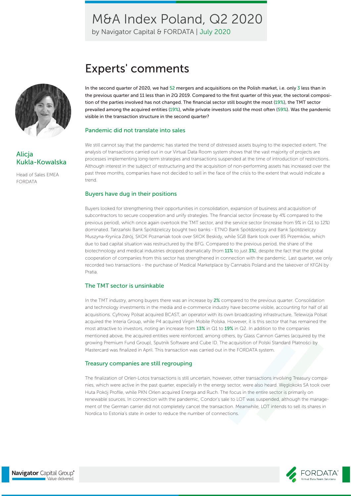by Navigator Capital & FORDATA | July 2020



### Alicja Kukla-Kowalska

Head of Sales EMEA FORDATA

# Experts' comments

In the second quarter of 2020, we had 52 mergers and acquisitions on the Polish market, i.e. only 3 less than in the previous quarter and 11 less than in 2Q 2019. Compared to the first quarter of this year, the sectoral composition of the parties involved has not changed. The financial sector still bought the most (19%), the TMT sector prevailed among the acquired entities (19%), while private investors sold the most often (59%). Was the pandemic visible in the transaction structure in the second quarter?

#### Pandemic did not translate into sales

We still cannot say that the pandemic has started the trend of distressed assets buying to the expected extent. The analysis of transactions carried out in our Virtual Data Room system shows that the vast majority of projects are processes implementing long-term strategies and transactions suspended at the time of introduction of restrictions. Although interest in the subject of restructuring and the acquisition of non-performing assets has increased over the past three months, companies have not decided to sell in the face of the crisis to the extent that would indicate a trend.

#### Buyers have dug in their positions

Buyers looked for strengthening their opportunities in consolidation, expansion of business and acquisition of subcontractors to secure cooperation and unify strategies. The financial sector (increase by 4% compared to the previous period), which once again overtook the TMT sector, and the service sector (increase from 9% in Q1 to 12%) dominated. Tatrzański Bank Spółdzielczy bought two banks - ETNO Bank Spółdzielczy and Bank Spółdzielczy Muszyna-Krynica Zdrój, SKOK Poznaniak took over SKOK Beskidy, while SGB Bank took over BS Przemków, which due to bad capital situation was restructured by the BFG. Compared to the previous period, the share of the biotechnology and medical industries dropped dramatically (from 11% to just 3%), despite the fact that the global cooperation of companies from this sector has strengthened in connection with the pandemic. Last quarter, we only recorded two transactions - the purchase of Medical Marketplace by Cannabis Poland and the takeover of KFGN by Pratia.

#### The TMT sector is unsinkable

In the TMT industry, among buyers there was an increase by 2% compared to the previous quarter. Consolidation and technology investments in the media and e-commerce industry have become visible, accounting for half of all acquisitions. Cyfrowy Polsat acquired BCAST, an operator with its own broadcasting infrastructure, Telewizja Polsat acquired the Interia Group, while P4 acquired Virgin Mobile Polska. However, it is this sector that has remained the most attractive to investors, noting an increase from 13% in Q1 to 19% in Q2. In addition to the companies mentioned above, the acquired entities were reinforced, among others, by Glass Cannon Games (acquired by the growing Premium Fund Group), Sputnik Software and Cube ID. The acquisition of Polski Standard Płatności by Mastercard was finalized in April. This transaction was carried out in the FORDATA system.

#### Treasury companies are still regrouping

The finalization of Orlen-Lotos transactions is still uncertain, however, other transactions involving Treasury companies, which were active in the past quarter, especially in the energy sector, were also heard. Węglokoks SA took over Huta Pokój Profile, while PKN Orlen acquired Energa and Ruch. The focus in the entire sector is primarily on renewable sources. In connection with the pandemic, Condor's sale to LOT was suspended, although the management of the German carrier did not completely cancel the transaction. Meanwhile, LOT intends to sell its shares in Nordica to Estonia's state in order to reduce the number of connections.

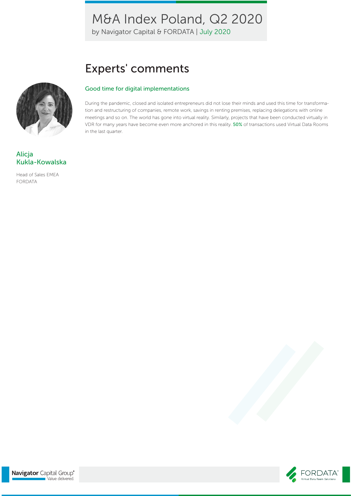by Navigator Capital & FORDATA | July 2020

# Experts' comments

#### Good time for digital implementations

During the pandemic, closed and isolated entrepreneurs did not lose their minds and used this time for transformation and restructuring of companies, remote work, savings in renting premises, replacing delegations with online meetings and so on. The world has gone into virtual reality. Similarly, projects that have been conducted virtually in VDR for many years have become even more anchored in this reality. 50% of transactions used Virtual Data Rooms in the last quarter.



### Alicja Kukla-Kowalska

Head of Sales EMEA FORDATA